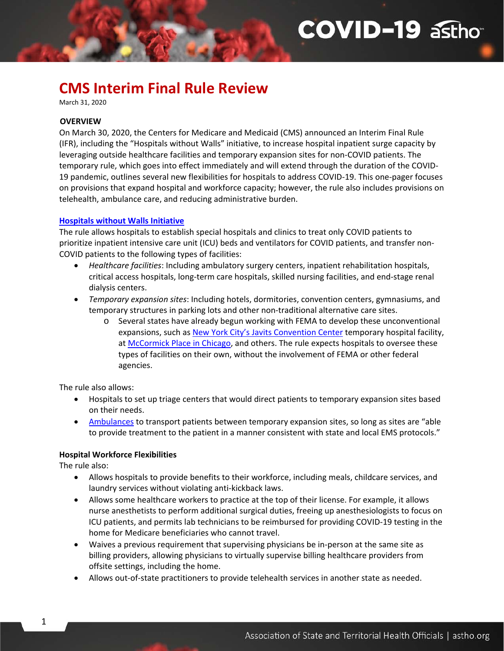# **COVID-19 asthot**

## **CMS Interim Final Rule Review**

March 31, 2020

#### **OVERVIEW**

On March 30, 2020, the Centers for Medicare and Medicaid (CMS) announced an Interim Final Rule (IFR), including the "Hospitals without Walls" initiative, to increase hospital inpatient surge capacity by leveraging outside healthcare facilities and temporary expansion sites for non-COVID patients. The temporary rule, which goes into effect immediately and will extend through the duration of the COVID-19 pandemic, outlines several new flexibilities for hospitals to address COVID-19. This one-pager focuses on provisions that expand hospital and workforce capacity; however, the rule also includes provisions on telehealth, ambulance care, and reducing administrative burden.

#### **[Hospitals without Walls Initiative](https://www.cms.gov/files/document/covid-hospitals.pdf)**

The rule allows hospitals to establish special hospitals and clinics to treat only COVID patients to prioritize inpatient intensive care unit (ICU) beds and ventilators for COVID patients, and transfer non-COVID patients to the following types of facilities:

- *Healthcare facilities*: Including ambulatory surgery centers, inpatient rehabilitation hospitals, critical access hospitals, long-term care hospitals, skilled nursing facilities, and end-stage renal dialysis centers.
- *Temporary expansion sites*: Including hotels, dormitories, convention centers, gymnasiums, and temporary structures in parking lots and other non-traditional alternative care sites.
	- o Several states have already begun working with FEMA to develop these unconventional expansions, such as [New York City's Javits Convention Center](https://www.governor.ny.gov/news/amid-ongoing-covid-19-pandemic-governor-cuomo-announces-completion-first-1000-bed-temporary) temporary hospital facility, at [McCormick Place in Chicago,](https://www.chicagotribune.com/coronavirus/ct-viz-mccormick-place-coronavirus-field-hospital-army-corps-of-engineers-photos-20200330-7fyfochzbzdunimem6nypiepfe-photogallery.html) and others. The rule expects hospitals to oversee these types of facilities on their own, without the involvement of FEMA or other federal agencies.

The rule also allows:

- Hospitals to set up triage centers that would direct patients to temporary expansion sites based on their needs.
- [Ambulances](https://www.cms.gov/files/document/covid-ambulances.pdf) to transport patients between temporary expansion sites, so long as sites are "able" to provide treatment to the patient in a manner consistent with state and local EMS protocols."

#### **Hospital Workforce Flexibilities**

The rule also:

1

- Allows hospitals to provide benefits to their workforce, including meals, childcare services, and laundry services without violating anti-kickback laws.
- Allows some healthcare workers to practice at the top of their license. For example, it allows nurse anesthetists to perform additional surgical duties, freeing up anesthesiologists to focus on ICU patients, and permits lab technicians to be reimbursed for providing COVID-19 testing in the home for Medicare beneficiaries who cannot travel.
- Waives a previous requirement that supervising physicians be in-person at the same site as billing providers, allowing physicians to virtually supervise billing healthcare providers from offsite settings, including the home.
- Allows out-of-state practitioners to provide telehealth services in another state as needed.